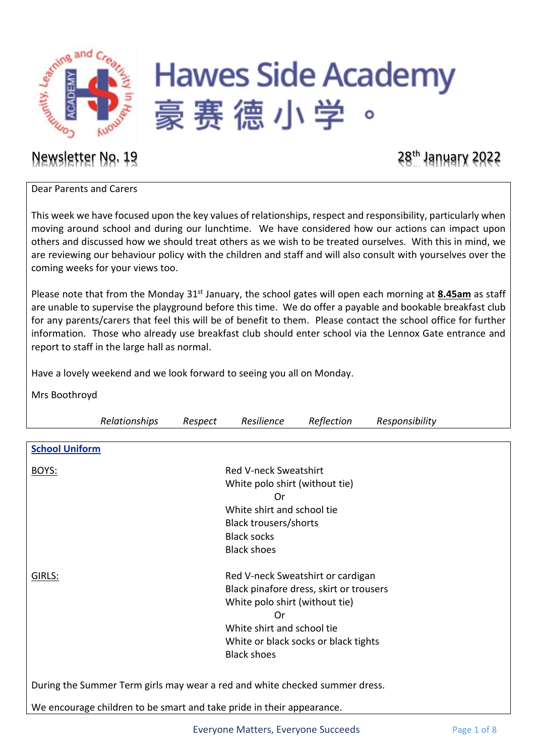

# **Hawes Side Academy** 豪赛德小学

### Newsletter No. 19 28<sup>th</sup> January 2022

Dear Parents and Carers

This week we have focused upon the key values of relationships, respect and responsibility, particularly when moving around school and during our lunchtime. We have considered how our actions can impact upon others and discussed how we should treat others as we wish to be treated ourselves. With this in mind, we are reviewing our behaviour policy with the children and staff and will also consult with yourselves over the coming weeks for your views too.

Please note that from the Monday 31<sup>st</sup> January, the school gates will open each morning at 8.45am as staff are unable to supervise the playground before this time. We do offer a payable and bookable breakfast club for any parents/carers that feel this will be of benefit to them. Please contact the school office for further information. Those who already use breakfast club should enter school via the Lennox Gate entrance and report to staff in the large hall as normal.

Have a lovely weekend and we look forward to seeing you all on Monday.

Mrs Boothroyd

|                                                                             | Relationships                | Respect | Resilience                     | Reflection                              | Responsibility |  |
|-----------------------------------------------------------------------------|------------------------------|---------|--------------------------------|-----------------------------------------|----------------|--|
|                                                                             |                              |         |                                |                                         |                |  |
| <b>School Uniform</b>                                                       |                              |         |                                |                                         |                |  |
|                                                                             |                              |         |                                |                                         |                |  |
| BOYS:                                                                       | <b>Red V-neck Sweatshirt</b> |         |                                |                                         |                |  |
|                                                                             |                              |         | White polo shirt (without tie) |                                         |                |  |
|                                                                             |                              |         | Or                             |                                         |                |  |
|                                                                             |                              |         | White shirt and school tie     |                                         |                |  |
|                                                                             |                              |         | Black trousers/shorts          |                                         |                |  |
|                                                                             |                              |         | <b>Black socks</b>             |                                         |                |  |
|                                                                             |                              |         | <b>Black shoes</b>             |                                         |                |  |
|                                                                             |                              |         |                                |                                         |                |  |
| Red V-neck Sweatshirt or cardigan<br>GIRLS:                                 |                              |         |                                |                                         |                |  |
|                                                                             |                              |         |                                | Black pinafore dress, skirt or trousers |                |  |
| White polo shirt (without tie)<br>0r<br>White shirt and school tie          |                              |         |                                |                                         |                |  |
|                                                                             |                              |         |                                |                                         |                |  |
|                                                                             |                              |         |                                |                                         |                |  |
|                                                                             |                              |         |                                | White or black socks or black tights    |                |  |
|                                                                             |                              |         | <b>Black shoes</b>             |                                         |                |  |
|                                                                             |                              |         |                                |                                         |                |  |
| During the Summer Term girls may wear a red and white checked summer dress. |                              |         |                                |                                         |                |  |
| We encourage children to be smart and take pride in their appearance.       |                              |         |                                |                                         |                |  |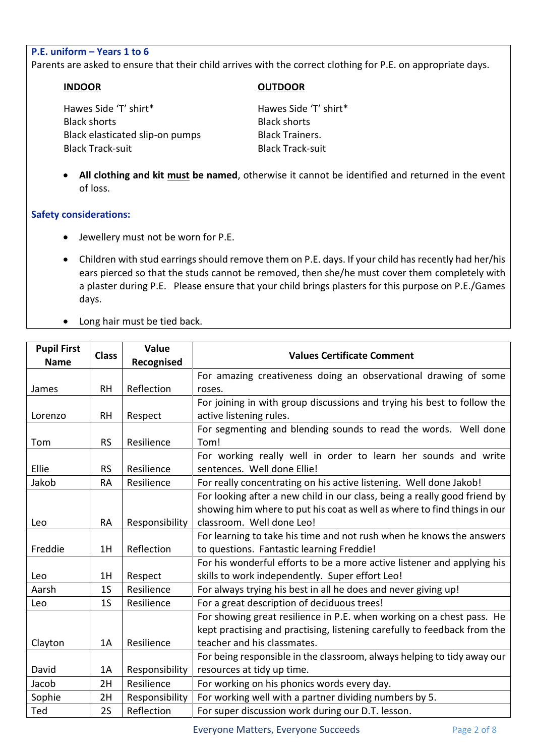### **P.E. uniform – Years 1 to 6**

Parents are asked to ensure that their child arrives with the correct clothing for P.E. on appropriate days.

#### **INDOOR OUTDOOR**

Hawes Side 'T' shirt\* Hawes Side 'T' shirt\* Black shorts Black shorts Black elasticated slip-on pumps Black Trainers. Black Track-suit Black Track-suit

• **All clothing and kit must be named**, otherwise it cannot be identified and returned in the event of loss.

#### **Safety considerations:**

- Jewellery must not be worn for P.E.
- Children with stud earrings should remove them on P.E. days. If your child has recently had her/his ears pierced so that the studs cannot be removed, then she/he must cover them completely with a plaster during P.E. Please ensure that your child brings plasters for this purpose on P.E./Games days.
- Long hair must be tied back.

| <b>Pupil First</b> | <b>Class</b>   | Value          | <b>Values Certificate Comment</b>                                         |  |
|--------------------|----------------|----------------|---------------------------------------------------------------------------|--|
| <b>Name</b>        |                | Recognised     |                                                                           |  |
|                    |                |                | For amazing creativeness doing an observational drawing of some           |  |
| James              | <b>RH</b>      | Reflection     | roses.                                                                    |  |
|                    |                |                | For joining in with group discussions and trying his best to follow the   |  |
| Lorenzo            | <b>RH</b>      | Respect        | active listening rules.                                                   |  |
|                    |                |                | For segmenting and blending sounds to read the words. Well done           |  |
| Tom                | <b>RS</b>      | Resilience     | Tom!                                                                      |  |
|                    |                |                | For working really well in order to learn her sounds and write            |  |
| Ellie              | <b>RS</b>      | Resilience     | sentences. Well done Ellie!                                               |  |
| Jakob              | <b>RA</b>      | Resilience     | For really concentrating on his active listening. Well done Jakob!        |  |
|                    |                |                | For looking after a new child in our class, being a really good friend by |  |
|                    |                |                | showing him where to put his coat as well as where to find things in our  |  |
| Leo                | <b>RA</b>      | Responsibility | classroom. Well done Leo!                                                 |  |
|                    |                |                | For learning to take his time and not rush when he knows the answers      |  |
| Freddie            | 1H             | Reflection     | to questions. Fantastic learning Freddie!                                 |  |
|                    |                |                | For his wonderful efforts to be a more active listener and applying his   |  |
| Leo                | 1H             | Respect        | skills to work independently. Super effort Leo!                           |  |
| Aarsh              | 1 <sub>S</sub> | Resilience     | For always trying his best in all he does and never giving up!            |  |
| Leo                | 1 <sub>S</sub> | Resilience     | For a great description of deciduous trees!                               |  |
|                    |                |                | For showing great resilience in P.E. when working on a chest pass. He     |  |
|                    |                |                | kept practising and practising, listening carefully to feedback from the  |  |
| Clayton            | 1A             | Resilience     | teacher and his classmates.                                               |  |
|                    |                |                | For being responsible in the classroom, always helping to tidy away our   |  |
| David              | 1A             | Responsibility | resources at tidy up time.                                                |  |
| Jacob              | 2H             | Resilience     | For working on his phonics words every day.                               |  |
| Sophie             | 2H             | Responsibility | For working well with a partner dividing numbers by 5.                    |  |
| Ted                | 2S             | Reflection     | For super discussion work during our D.T. lesson.                         |  |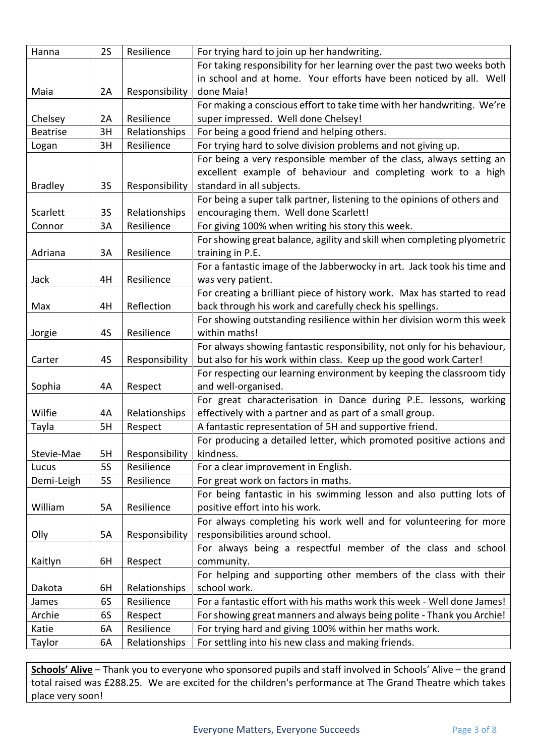| Hanna           | 2S        | Resilience     | For trying hard to join up her handwriting.                              |
|-----------------|-----------|----------------|--------------------------------------------------------------------------|
|                 |           |                | For taking responsibility for her learning over the past two weeks both  |
|                 |           |                | in school and at home. Your efforts have been noticed by all. Well       |
| Maia            | 2A        | Responsibility | done Maia!                                                               |
|                 |           |                | For making a conscious effort to take time with her handwriting. We're   |
| Chelsey         | 2A        | Resilience     | super impressed. Well done Chelsey!                                      |
| <b>Beatrise</b> | 3H        | Relationships  | For being a good friend and helping others.                              |
| Logan           | 3H        | Resilience     | For trying hard to solve division problems and not giving up.            |
|                 |           |                | For being a very responsible member of the class, always setting an      |
|                 |           |                | excellent example of behaviour and completing work to a high             |
| <b>Bradley</b>  | <b>3S</b> | Responsibility | standard in all subjects.                                                |
|                 |           |                | For being a super talk partner, listening to the opinions of others and  |
| Scarlett        | 3S        | Relationships  | encouraging them. Well done Scarlett!                                    |
| Connor          | 3A        | Resilience     | For giving 100% when writing his story this week.                        |
|                 |           |                | For showing great balance, agility and skill when completing plyometric  |
| Adriana         | 3A        | Resilience     | training in P.E.                                                         |
|                 |           |                | For a fantastic image of the Jabberwocky in art. Jack took his time and  |
| Jack            | 4H        | Resilience     | was very patient.                                                        |
|                 |           |                | For creating a brilliant piece of history work. Max has started to read  |
| Max             | 4H        | Reflection     | back through his work and carefully check his spellings.                 |
|                 |           |                | For showing outstanding resilience within her division worm this week    |
| Jorgie          | 4S        | Resilience     | within maths!                                                            |
|                 |           |                | For always showing fantastic responsibility, not only for his behaviour, |
| Carter          | 4S        | Responsibility | but also for his work within class. Keep up the good work Carter!        |
|                 |           |                | For respecting our learning environment by keeping the classroom tidy    |
| Sophia          | 4A        | Respect        | and well-organised.                                                      |
|                 |           |                | For great characterisation in Dance during P.E. lessons, working         |
| Wilfie          | 4A        | Relationships  | effectively with a partner and as part of a small group.                 |
| Tayla           | 5H        | Respect        | A fantastic representation of 5H and supportive friend.                  |
|                 |           |                | For producing a detailed letter, which promoted positive actions and     |
| Stevie-Mae      | 5H        | Responsibility | kindness.                                                                |
| Lucus           | <b>5S</b> | Resilience     | For a clear improvement in English.                                      |
| Demi-Leigh      | <b>5S</b> | Resilience     | For great work on factors in maths.                                      |
|                 |           |                | For being fantastic in his swimming lesson and also putting lots of      |
| William         | 5A        | Resilience     | positive effort into his work.                                           |
|                 |           |                | For always completing his work well and for volunteering for more        |
| Olly            | 5A        | Responsibility | responsibilities around school.                                          |
|                 |           |                | For always being a respectful member of the class and school             |
| Kaitlyn         | 6H        | Respect        | community.                                                               |
|                 |           |                | For helping and supporting other members of the class with their         |
| Dakota          | 6H        | Relationships  | school work.                                                             |
| James           | 6S        | Resilience     | For a fantastic effort with his maths work this week - Well done James!  |
| Archie          | 6S        | Respect        | For showing great manners and always being polite - Thank you Archie!    |
| Katie           | 6A        | Resilience     | For trying hard and giving 100% within her maths work.                   |
| Taylor          | 6A        | Relationships  | For settling into his new class and making friends.                      |

**Schools' Alive** – Thank you to everyone who sponsored pupils and staff involved in Schools' Alive – the grand total raised was £288.25. We are excited for the children's performance at The Grand Theatre which takes place very soon!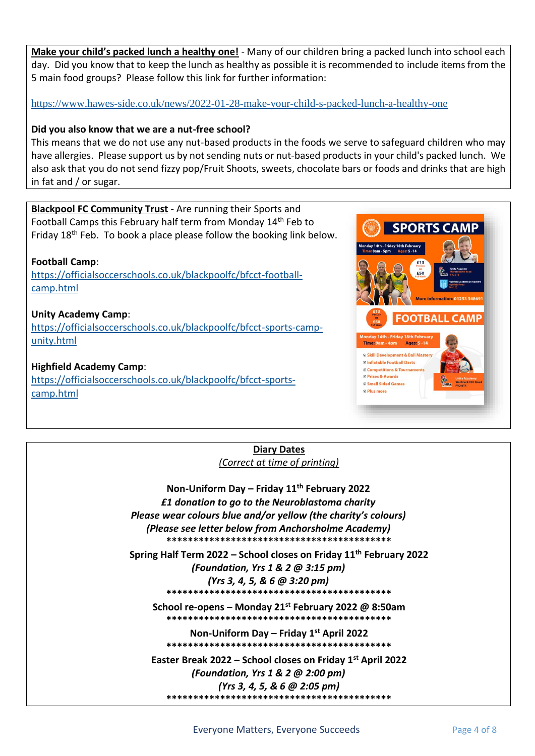**Make your child's packed lunch a healthy one!** - Many of our children bring a packed lunch into school each day.Did you know that to keep the lunch as healthy as possible it is recommended to include items from the 5 main food groups? Please follow this link for further information:

<https://www.hawes-side.co.uk/news/2022-01-28-make-your-child-s-packed-lunch-a-healthy-one>

#### **Did you also know that we are a nut-free school?**

This means that we do not use any nut-based products in the foods we serve to safeguard children who may have allergies. Please support us by not sending nuts or nut-based products in your child's packed lunch. We also ask that you do not send fizzy pop/Fruit Shoots, sweets, chocolate bars or foods and drinks that are high in fat and / or sugar.

### **Blackpool FC Community Trust** - Are running their Sports and

Football Camps this February half term from Monday 14<sup>th</sup> Feb to Friday 18<sup>th</sup> Feb. To book a place please follow the booking link below.

### **Football Camp**:

[https://officialsoccerschools.co.uk/blackpoolfc/bfcct-football](https://officialsoccerschools.co.uk/blackpoolfc/bfcct-football-camp.html)[camp.html](https://officialsoccerschools.co.uk/blackpoolfc/bfcct-football-camp.html)

#### **Unity Academy Camp**:

[https://officialsoccerschools.co.uk/blackpoolfc/bfcct-sports-camp](https://officialsoccerschools.co.uk/blackpoolfc/bfcct-sports-camp-unity.html)[unity.html](https://officialsoccerschools.co.uk/blackpoolfc/bfcct-sports-camp-unity.html)

**Highfield Academy Camp**:

[https://officialsoccerschools.co.uk/blackpoolfc/bfcct-sports](https://officialsoccerschools.co.uk/blackpoolfc/bfcct-sports-camp.html)[camp.html](https://officialsoccerschools.co.uk/blackpoolfc/bfcct-sports-camp.html)



### **Diary Dates** *(Correct at time of printing)*

**Non-Uniform Day – Friday 11th February 2022** *£1 donation to go to the Neuroblastoma charity Please wear colours blue and/or yellow (the charity's colours) (Please see letter below from Anchorsholme Academy)* **\*\*\*\*\*\*\*\*\*\*\*\*\*\*\*\*\*\*\*\*\*\*\*\*\*\*\*\*\*\*\*\*\*\*\*\*\*\*\*\*\*\***

**Spring Half Term 2022 – School closes on Friday 11th February 2022** *(Foundation, Yrs 1 & 2 @ 3:15 pm) (Yrs 3, 4, 5, & 6 @ 3:20 pm)* **\*\*\*\*\*\*\*\*\*\*\*\*\*\*\*\*\*\*\*\*\*\*\*\*\*\*\*\*\*\*\*\*\*\*\*\*\*\*\*\*\*\* School re-opens – Monday 21st February 2022 @ 8:50am**

**\*\*\*\*\*\*\*\*\*\*\*\*\*\*\*\*\*\*\*\*\*\*\*\*\*\*\*\*\*\*\*\*\*\*\*\*\*\*\*\*\*\***

**Non-Uniform Day – Friday 1st April 2022 \*\*\*\*\*\*\*\*\*\*\*\*\*\*\*\*\*\*\*\*\*\*\*\*\*\*\*\*\*\*\*\*\*\*\*\*\*\*\*\*\*\***

**Easter Break 2022 – School closes on Friday 1st April 2022**  *(Foundation, Yrs 1 & 2 @ 2:00 pm) (Yrs 3, 4, 5, & 6 @ 2:05 pm)* **\*\*\*\*\*\*\*\*\*\*\*\*\*\*\*\*\*\*\*\*\*\*\*\*\*\*\*\*\*\*\*\*\*\*\*\*\*\*\*\*\*\***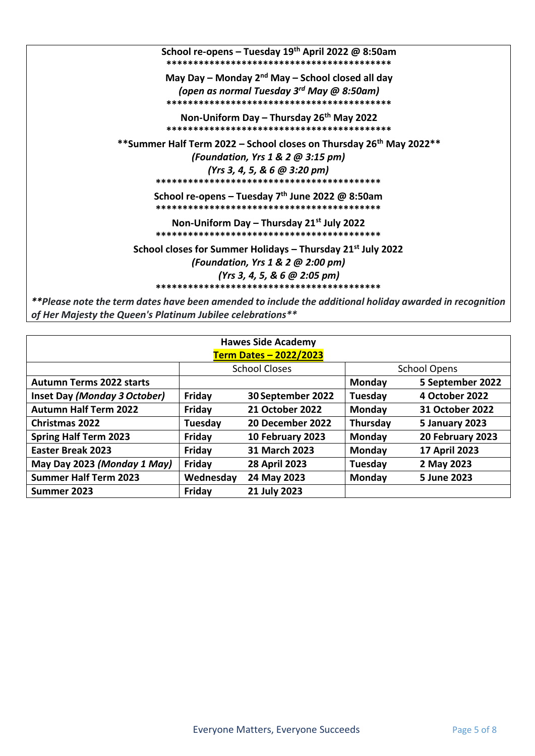| School re-opens – Tuesday 19 <sup>th</sup> April 2022 @ 8:50am                                                                                                        |
|-----------------------------------------------------------------------------------------------------------------------------------------------------------------------|
| May Day – Monday $2^{nd}$ May – School closed all day<br>(open as normal Tuesday 3 <sup>rd</sup> May @ 8:50am)                                                        |
| Non-Uniform Day - Thursday 26 <sup>th</sup> May 2022                                                                                                                  |
| **Summer Half Term 2022 – School closes on Thursday 26 <sup>th</sup> May 2022**<br>(Foundation, Yrs $1 & 2 \omega$ 3:15 pm)<br>(Yrs 3, 4, 5, & 6 $@$ 3:20 pm)         |
| School re-opens – Tuesday $7th$ June 2022 @ 8:50am                                                                                                                    |
| Non-Uniform Day – Thursday $21^{st}$ July 2022                                                                                                                        |
| School closes for Summer Holidays $-$ Thursday 21st July 2022<br>(Foundation, Yrs $1 & 2 \omega$ 2:00 pm)<br>(Yrs 3, 4, 5, & 6 @ 2:05 pm)                             |
| **Please note the term dates have been amended to include the additional holiday awarded in recognition<br>of Her Majesty the Queen's Platinum Jubilee celebrations** |

| <b>Hawes Side Academy</b>       |                      |                        |                     |                  |  |  |
|---------------------------------|----------------------|------------------------|---------------------|------------------|--|--|
| <b>Term Dates - 2022/2023</b>   |                      |                        |                     |                  |  |  |
|                                 | <b>School Closes</b> |                        | <b>School Opens</b> |                  |  |  |
| <b>Autumn Terms 2022 starts</b> |                      |                        | <b>Monday</b>       | 5 September 2022 |  |  |
| Inset Day (Monday 3 October)    | Friday               | 30 September 2022      | Tuesday             | 4 October 2022   |  |  |
| <b>Autumn Half Term 2022</b>    | Friday               | <b>21 October 2022</b> | <b>Monday</b>       | 31 October 2022  |  |  |
| <b>Christmas 2022</b>           | Tuesday              | 20 December 2022       | Thursday            | 5 January 2023   |  |  |
| <b>Spring Half Term 2023</b>    | Friday               | 10 February 2023       | <b>Monday</b>       | 20 February 2023 |  |  |
| <b>Easter Break 2023</b>        | Friday               | 31 March 2023          | Monday              | 17 April 2023    |  |  |
| May Day 2023 (Monday 1 May)     | Friday               | <b>28 April 2023</b>   | Tuesday             | 2 May 2023       |  |  |
| <b>Summer Half Term 2023</b>    | Wednesday            | 24 May 2023            | Monday              | 5 June 2023      |  |  |
| Summer 2023                     | Friday               | 21 July 2023           |                     |                  |  |  |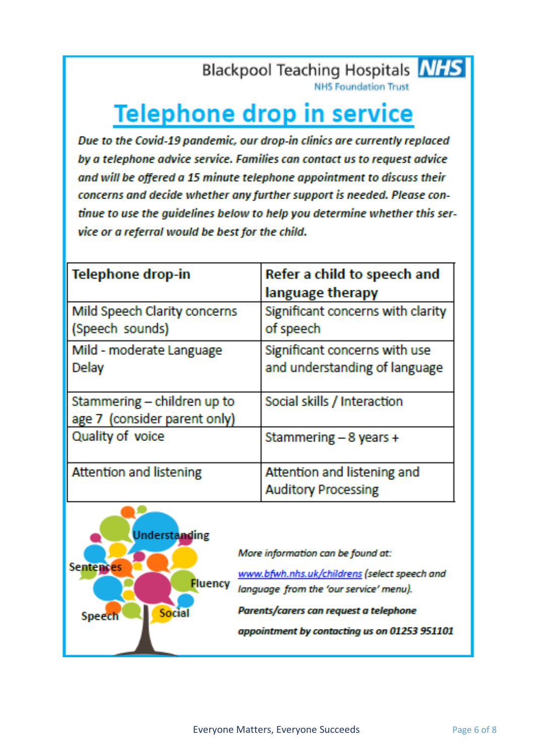### **Blackpool Teaching Hospitals NHS**

**NHS Foundation Trust** 

## **Telephone drop in service**

Due to the Covid-19 pandemic, our drop-in clinics are currently replaced by a telephone advice service. Families can contact us to request advice and will be offered a 15 minute telephone appointment to discuss their concerns and decide whether any further support is needed. Please continue to use the quidelines below to help you determine whether this service or a referral would be best for the child.

| <b>Telephone drop-in</b>                                    | Refer a child to speech and<br>language therapy                |
|-------------------------------------------------------------|----------------------------------------------------------------|
| Mild Speech Clarity concerns<br>(Speech sounds)             | Significant concerns with clarity<br>of speech                 |
| Mild - moderate Language<br>Delay                           | Significant concerns with use<br>and understanding of language |
| Stammering - children up to<br>age 7 (consider parent only) | Social skills / Interaction                                    |
| Quality of voice                                            | Stammering $-8$ years +                                        |
| <b>Attention and listening</b>                              | Attention and listening and<br><b>Auditory Processing</b>      |



More information can be found at:

www.bfwh.nhs.uk/childrens (select speech and language from the 'our service' menu).

Parents/carers can request a telephone appointment by contacting us on 01253 951101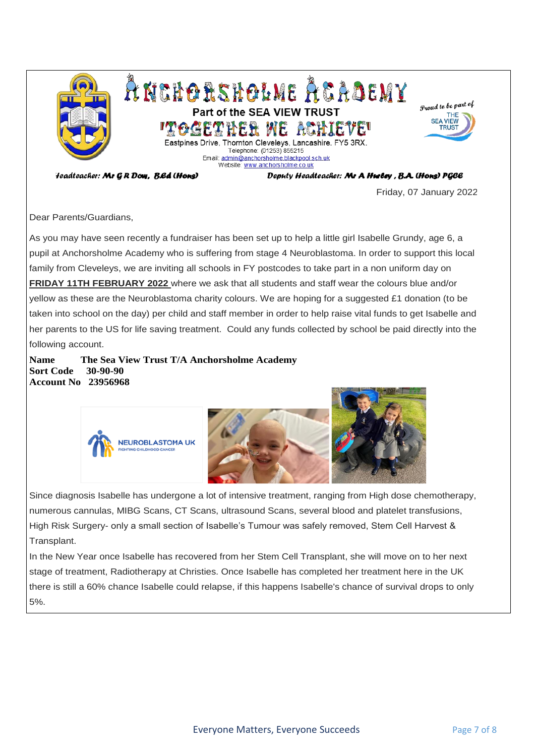

*Feadteacher: Mr GR Dow, B.Ed (Hons)* 

Deputy Headteacher: Mr A Hurley, B.A. (Hons) PGCE

Friday, 07 January 2022

Dear Parents/Guardians,

As you may have seen recently a fundraiser has been set up to help a little girl Isabelle Grundy, age 6, a pupil at Anchorsholme Academy who is suffering from stage 4 Neuroblastoma. In order to support this local family from Cleveleys, we are inviting all schools in FY postcodes to take part in a non uniform day on **FRIDAY 11TH FEBRUARY 2022** where we ask that all students and staff wear the colours blue and/or yellow as these are the Neuroblastoma charity colours. We are hoping for a suggested £1 donation (to be taken into school on the day) per child and staff member in order to help raise vital funds to get Isabelle and her parents to the US for life saving treatment. Could any funds collected by school be paid directly into the following account.

**Name The Sea View Trust T/A Anchorsholme Academy Sort Code 30-90-90 Account No 23956968**



Since diagnosis Isabelle has undergone a lot of intensive treatment, ranging from High dose chemotherapy, numerous cannulas, MIBG Scans, CT Scans, ultrasound Scans, several blood and platelet transfusions, High Risk Surgery- only a small section of Isabelle's Tumour was safely removed, Stem Cell Harvest & Transplant.

In the New Year once Isabelle has recovered from her Stem Cell Transplant, she will move on to her next stage of treatment, Radiotherapy at Christies. Once Isabelle has completed her treatment here in the UK there is still a 60% chance Isabelle could relapse, if this happens Isabelle's chance of survival drops to only 5%.